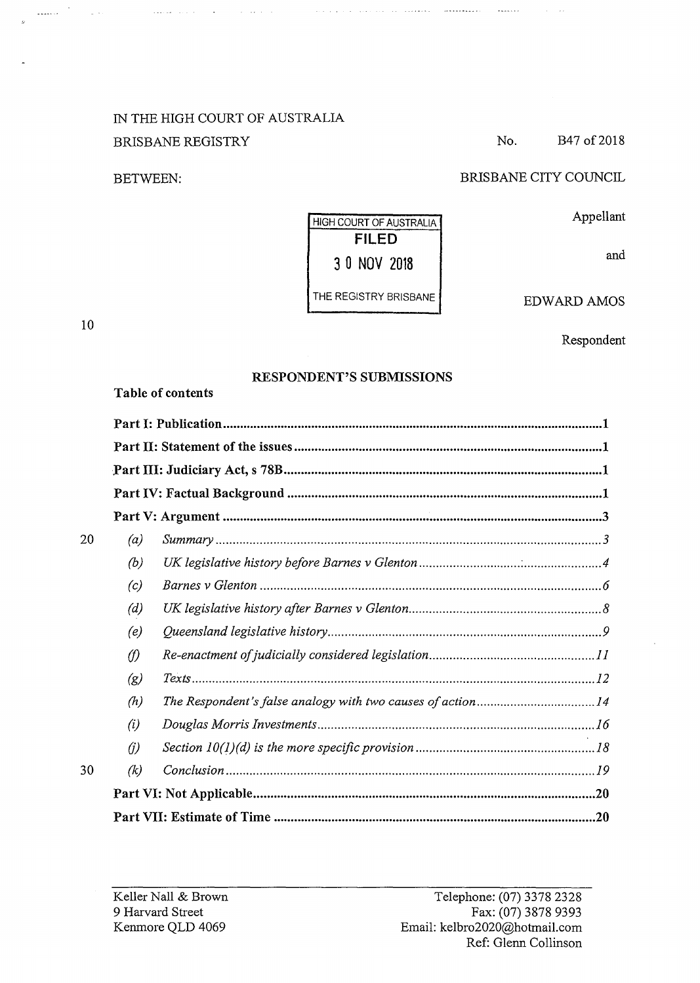# IN THE HIGH COURT OF AUSTRALIA BRISBANE REGISTRY

المنافس والمنافس والمتفاعد

BETWEEN:

BRISBANE CITY COUNCIL

No. B47 of 2018

 $\alpha = 1/2$ 

Appellant

and

# THE REGISTRY BRISBANE

HIGH COURT OF AUSTRALIA

and a probability of the constraints of  $\mathcal{L}_{\text{max}}$  . The constraints of  $\mathcal{L}_{\text{max}}$ 

EDWARD AMOS

Respondent

# **RESPONDENT'S SUBMISSIONS**

**Table of contents** 

| 20 | (a)                 | $Summary \dots 3$ |  |
|----|---------------------|-------------------|--|
|    | (b)                 |                   |  |
|    | (c)                 |                   |  |
|    | (d)                 |                   |  |
|    | (e)                 |                   |  |
|    | $\langle f \rangle$ |                   |  |
|    | (g)                 |                   |  |
|    | (h)                 |                   |  |
|    | (i)                 |                   |  |
|    | (i)                 |                   |  |
| 30 | (k)                 |                   |  |
|    |                     |                   |  |
|    |                     |                   |  |

# **FILED 3 0 NOV 2018**

10

 $\bar{\phantom{a}}$ 

 $\frac{1}{2}$  ,  $\frac{1}{2}$  ,  $\frac{1}{2}$  ,  $\frac{1}{2}$  ,

 $\sim$   $\sim$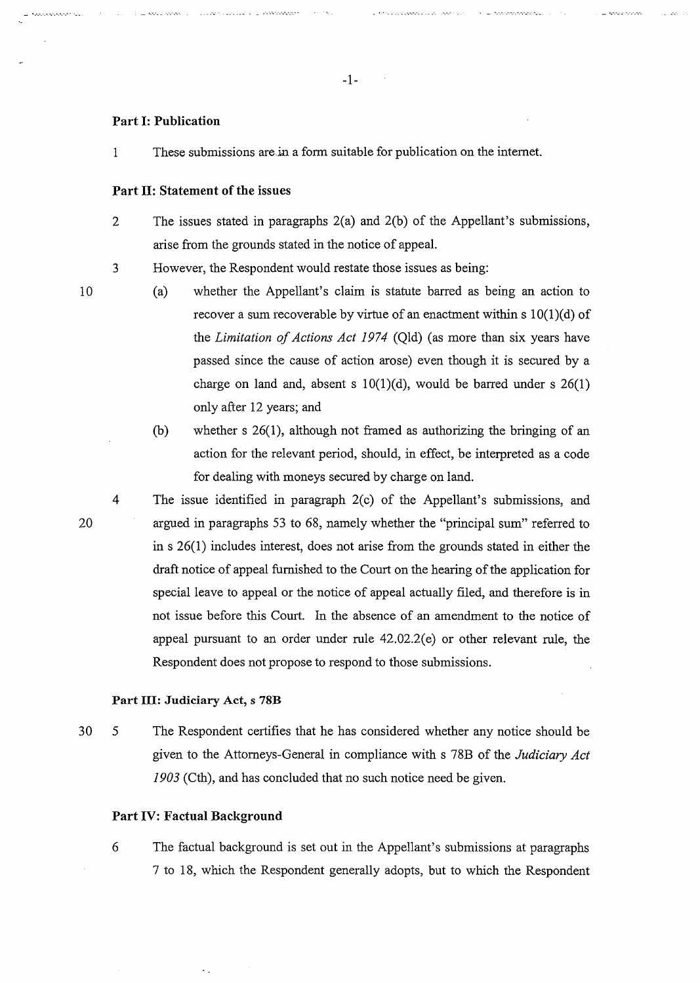#### **Part I: Publication**

1 These submissions are.in a form suitable for publication on the internet.

#### **Part II: Statement of the issues**

 $\omega$  hoppings  $\omega_{\alpha}$  ,  $\ldots$  .  $\omega_{\alpha}$  is  $\omega_{\alpha}$  ,  $\omega_{\alpha}$  is the constant

- 2 The issues stated in paragraphs 2(a) and 2(b) of the Appellant's submissions, arise from the grounds stated in the notice of appeal.
- 3 However, the Respondent would restate those issues as being:
- 10

20

- (a) whether the Appellant's claim is statute barred as being an action to recover a sum recoverable by virtue of an enactment within  $s \ 10(1)(d)$  of the *Limitation of Actions Act 1974* (Qld) (as more than six years have passed since the cause of action arose) even though it is secured by a charge on land and, absent s  $10(1)(d)$ , would be barred under s  $26(1)$ only after 12 years; and
- (b) whether s 26(1), although not framed as authorizing the bringing of an action for the relevant period, should, in effect, be interpreted as a code for dealing with moneys secured by charge on land.
- 4 The issue identified in paragraph 2(c) of the Appellant's submissions, and argued in paragraphs 53 to 68, namely whether the "principal sum" referred to in s 26(1) includes interest, does not arise from the grounds stated in either the draft notice of appeal furnished to the Court on the hearing of the application for special leave to appeal or the notice of appeal actually filed, and therefore is in not issue before this Court. In the absence of an amendment to the notice of appeal pursuant to an order under rule 42.02.2(e) or other relevant rule, the Respondent does not propose to respond to those submissions.

#### **Part III: Judiciary Act, s 78B**

30 5 The Respondent certifies that he has considered whether any notice should be given to the Attorneys-General in compliance with s 78B of the *Judiciary Act 1903* (Cth), and has concluded that no such notice need be given.

#### **Part IV: Factual Background**

6 The factual background is set out in the Appellant's submissions at paragraphs 7 to 18, which the Respondent generally adopts, but to which the Respondent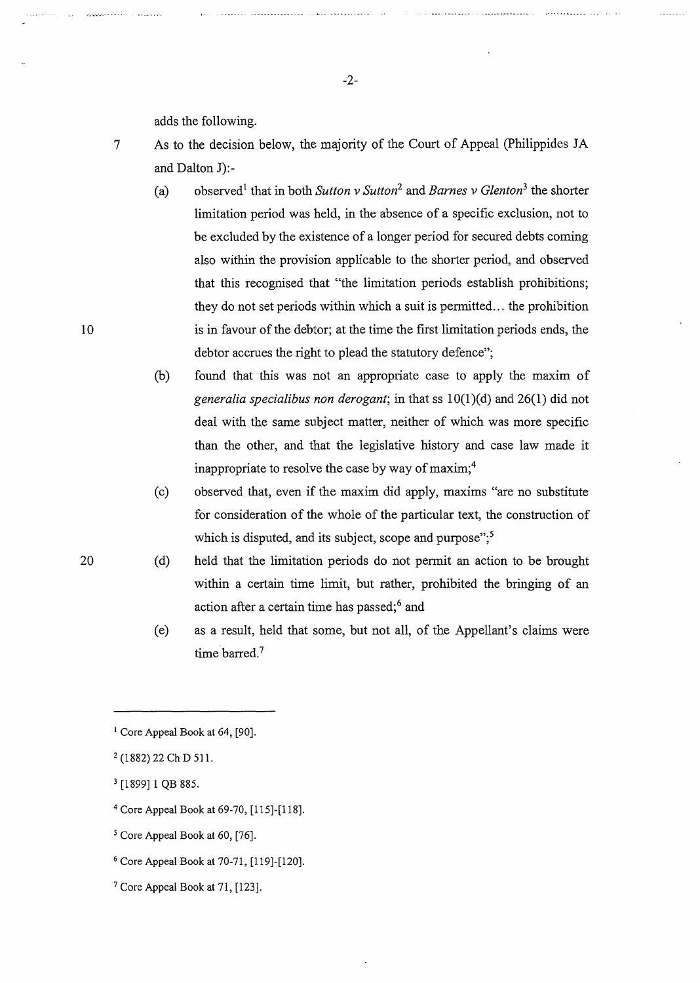adds the following.

- 7 As to the decision below, the majority of the Court of Appeal (Philippides JA and Dalton J):-
	- (a) observed<sup>1</sup> that in both *Sutton v Sutton*<sup>2</sup> and *Barnes v Glenton*<sup>3</sup> the shorter limitation period was held, in the absence of a specific exclusion, not to be excluded by the existence of a longer period for secured debts coming also within the provision applicable to the shorter period, and observed that this recognised that "the limitation periods establish prohibitions; they do not set periods within which a suit is permitted ... the prohibition is in favour of the debtor; at the time the first limitation periods ends, the debtor accrues the right to plead the statutory defence";
	- $(b)$  found that this was not an appropriate case to apply the maxim of *generalia specialibus non derogant;* in that ss lO(l)(d) and 26(1) did not deal with the same subject matter, neither of which was more specific than the other, and that the legislative history and case law made it inappropriate to resolve the case by way of maxim;<sup>4</sup>
	- ( c) observed that, even if the maxim did apply, maxims "are no substitute for consideration of the whole of the particular text, the construction of which is disputed, and its subject, scope and purpose";<sup>5</sup>
	- (d) held that the limitation periods do not permit an action to be brought within a certain time limit, but rather, prohibited the bringing of an action after a certain time has passed;<sup>6</sup> and
		- (e) as a result, held that some, but not all, of the Appellant's claims were time barred.<sup>7</sup>

- <sup>4</sup>Core Appeal Book at 69-70, [115]-[l 18].
- <sup>5</sup> Core Appeal Book at 60, [76].
- <sup>6</sup>Core Appeal Book at 70-71, [119]-[120].
- 7 Core Appeal Book at 71, [123].

-2-

20

 $1$  Core Appeal Book at 64, [90].

<sup>2 (1882) 22</sup> Ch D 511.

<sup>3 [1899] 1</sup> QB 885.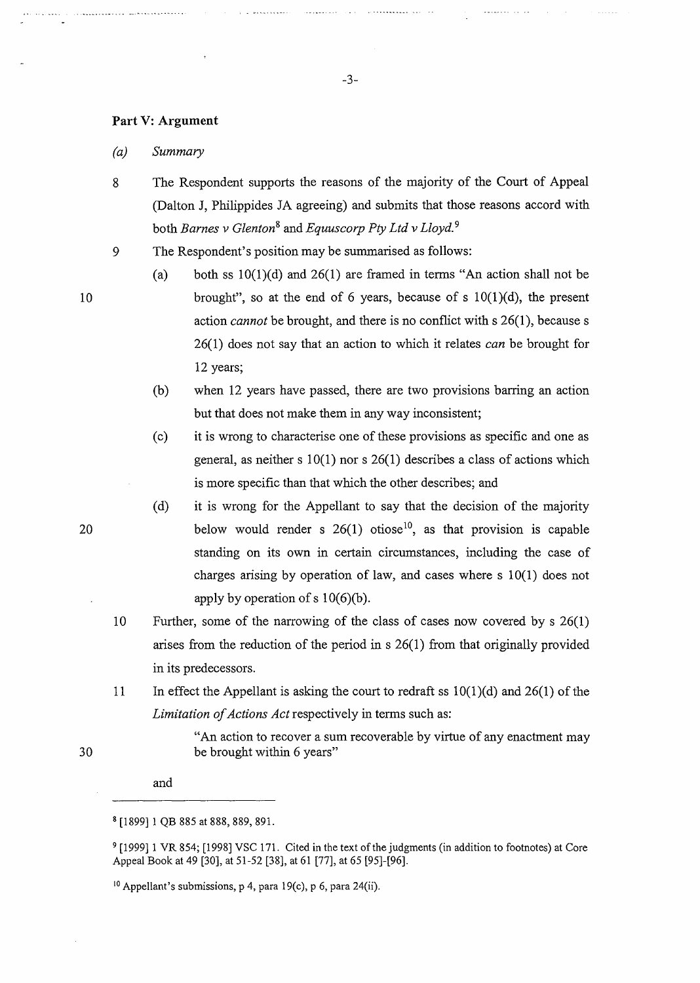#### **Part V: Argument**

*(a) Summary* 

- 8 The Respondent supports the reasons of the majority of the Court of Appeal (Dalton J, Philippides JA agreeing) and submits that those reasons accord with both *Barnes v Glenton8* and *Equuscorp Pty Ltd v Lloyd.* <sup>9</sup>
- 9 The Respondent's position may be summarised as follows:
	- (a) both ss  $10(1)(d)$  and  $26(1)$  are framed in terms "An action shall not be brought", so at the end of 6 years, because of s  $10(1)(d)$ , the present action *cannot* be brought, and there is no conflict with s 26(1), because s 26(1) does not say that an action to which it relates *can* be brought for 12 years;
	- (b) when 12 years have passed, there are two provisions barring an action but that does not make them in any way inconsistent;
	- ( c) it is wrong to characterise one of these provisions as specific and one as general, as neither s  $10(1)$  nor s  $26(1)$  describes a class of actions which is more specific than that which the other describes; and
	- (d) it is wrong for the Appellant to say that the decision of the majority below would render s  $26(1)$  otiose<sup>10</sup>, as that provision is capable standing on its own in certain circumstances, including the case of charges arising by operation of law, and cases where s 10(1) does not apply by operation of s  $10(6)(b)$ .
- 10 Further, some of the narrowing of the class of cases now covered bys 26(1) arises from the reduction of the period ins 26(1) from that originally provided in its predecessors.
- 11 In effect the Appellant is asking the court to redraft ss  $10(1)(d)$  and  $26(1)$  of the *Limitation of Actions Act* respectively in terms such as:

"An action to recover a sum recoverable by virtue of any enactment may be brought within 6 years"

and

10

20

<sup>8 [1899] 1</sup> QB 885 at 888, 889, 891.

<sup>9 [1999] 1</sup> VR 854; [1998] VSC 171. Cited in the text of the judgments (in addition to footnotes) at Core Appeal Book at 49 [30], at 51-52 [38], at 61 [77], at 65 [95]-[96].

<sup>&</sup>lt;sup>10</sup> Appellant's submissions, p 4, para 19(c), p 6, para 24(ii).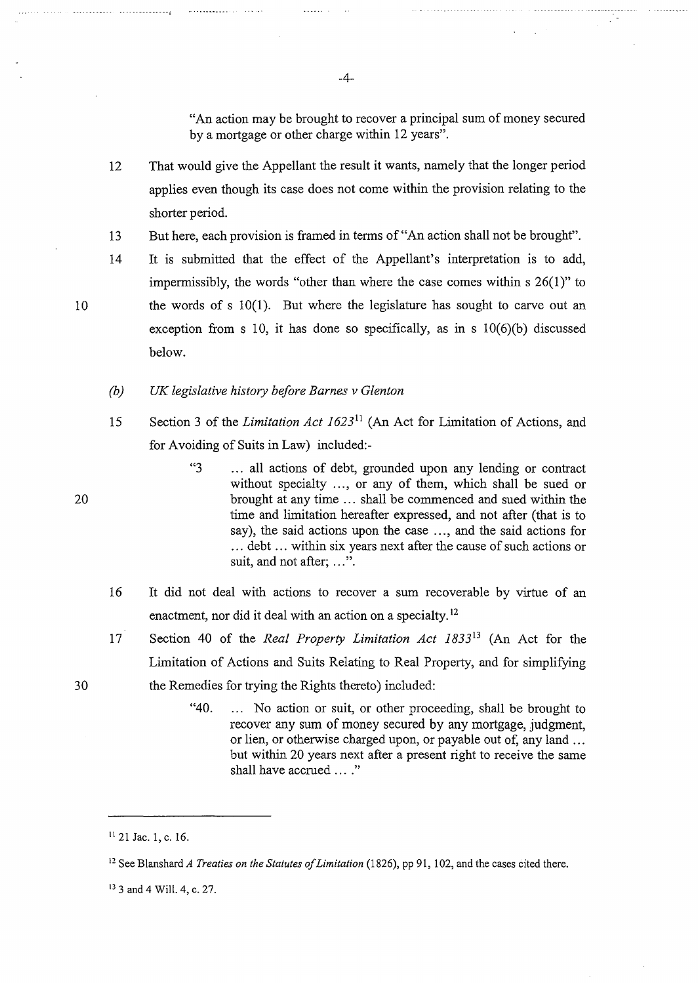"An action may be brought to recover a principal sum of money secured by a mortgage or other charge within 12 years".

- 12 That would give the Appellant the result it wants, namely that the longer period applies even though its case does not come within the provision relating to the shorter period.
- 13 But here, each provision is framed in terms of "An action shall not be brought".
- 14 It is submitted that the effect of the Appellant's interpretation is to add, impermissibly, the words "other than where the case comes within s 26(1)" to the words of s 10(1). But where the legislature has sought to carve out an exception from s 10, it has done so specifically, as in s  $10(6)(b)$  discussed below.
- *(b) UK legislative history before Barnes v Glenton*
- 15 Section 3 of the *Limitation Act 1623*11 (An Act for Limitation of Actions, and for Avoiding of Suits in Law) included:-
	- "3 . . . all actions of debt, grounded upon any lending or contract without specialty ..., or any of them, which shall be sued or brought at any time ... shall be commenced and sued within the time and limitation hereafter expressed, and not after (that is to say), the said actions upon the case ..., and the said actions for ... debt ... within six years next after the cause of such actions or suit, and not after; ...".
- 16 It did not deal with actions to recover a sum recoverable by virtue of an enactment, nor did it deal with an action on a specialty.<sup>12</sup>
- 17 Section 40 of the *Real Property Limitation Act 183313* (An Act for the Limitation of Actions and Suits Relating to Real Property, and for simplifying the Remedies for trying the Rights thereto) included:
	- "40. ... No action or suit, or other proceeding, shall be brought to recover any sum of money secured by any mortgage, judgment, or lien, or otherwise charged upon, or payable out of, any land ... but within 20 years next after a present right to receive the same shall have accrued ...."

-4-

20

10

<sup>11</sup>21 Jae. 1, c. 16.

<sup>&</sup>lt;sup>12</sup> See Blanshard *A Treaties on the Statutes of Limitation* (1826), pp 91, 102, and the cases cited there.

<sup>13 3</sup> and 4 Will. 4, c. 27.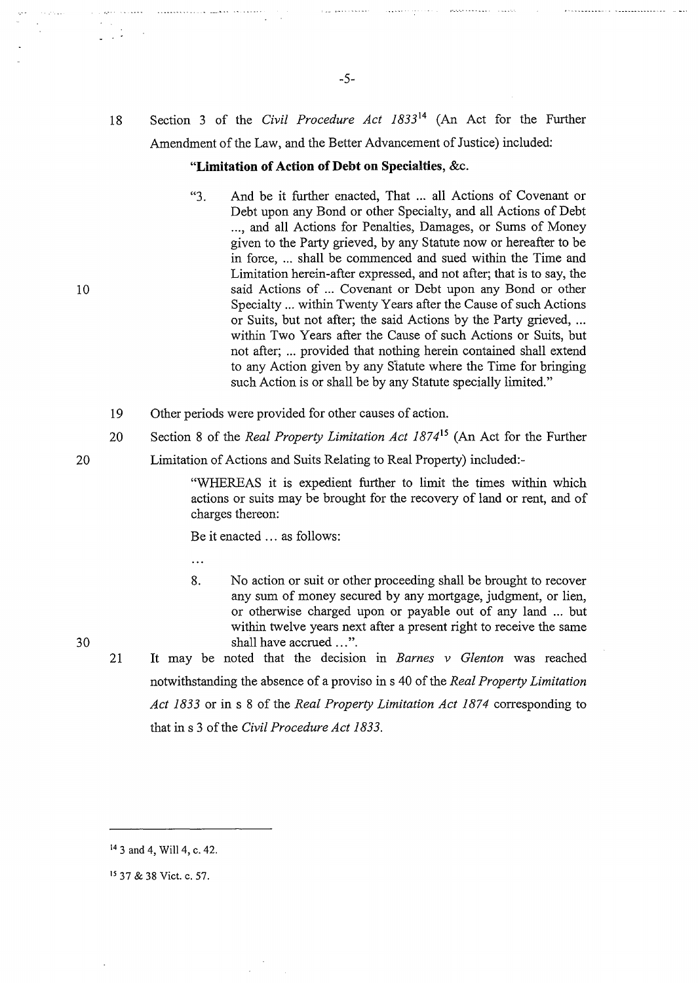$\overline{1}$ 

# 18 Section 3 of the *Civil Procedure Act 1833* <sup>14</sup>(An Act for the Further Amendment of the Law, and the Better Advancement of Justice) included:

#### **"Limitation of Action of Debt on Specialties,** &c.

- "3. And be it further enacted, That ... all Actions of Covenant or Debt upon any Bond or other Specialty, and all Actions of Debt ..., and all Actions for Penalties, Damages, or Sums of Money given to the Party grieved, by any Statute now or hereafter to be in force, ... shall be commenced and sued within the Time and Limitation herein-after expressed, and not after; that is to say, the said Actions of ... Covenant or Debt upon any Bond or other Specialty ... within Twenty Years after the Cause of such Actions or Suits, but not after; the said Actions by the Party grieved, ... within Two Years after the Cause of such Actions or Suits, but not after; ... provided that nothing herein contained shall extend to any Action given by any Statute where the Time for bringing such Action is or shall be by any Statute specially limited."
- 19 Other periods were provided for other causes of action.
- 20 Section 8 of the *Real Property Limitation Act 187415* (An Act for the Further
- 20 Limitation of Actions and Suits Relating to Real Property) included:-

"WHEREAS it is expedient further to limit the times within which actions or suits may be brought for the recovery of land or rent, and of charges thereon:

Be it enacted ... as follows:

 $\ddotsc$ 

- 8. No action or suit or other proceeding shall be brought to recover any sum of money secured by any mortgage, judgment, or lien, or otherwise charged upon or payable out of any land ... but within twelve years next after a present right to receive the same shall have accrued ...".
- 21 It may be noted that the decision in *Barnes v Glenton* was reached notwithstanding the absence of a proviso in s 40 of the *Real Property Limitation Act 1833* or ins 8 of the *Real Property Limitation Act 1874* corresponding to that ins 3 of the *Civil Procedure Act 1833.*

10

<sup>14 3</sup> and 4, Will 4, c. 42.

<sup>15 37 &</sup>amp; 38 Viet. c. 57.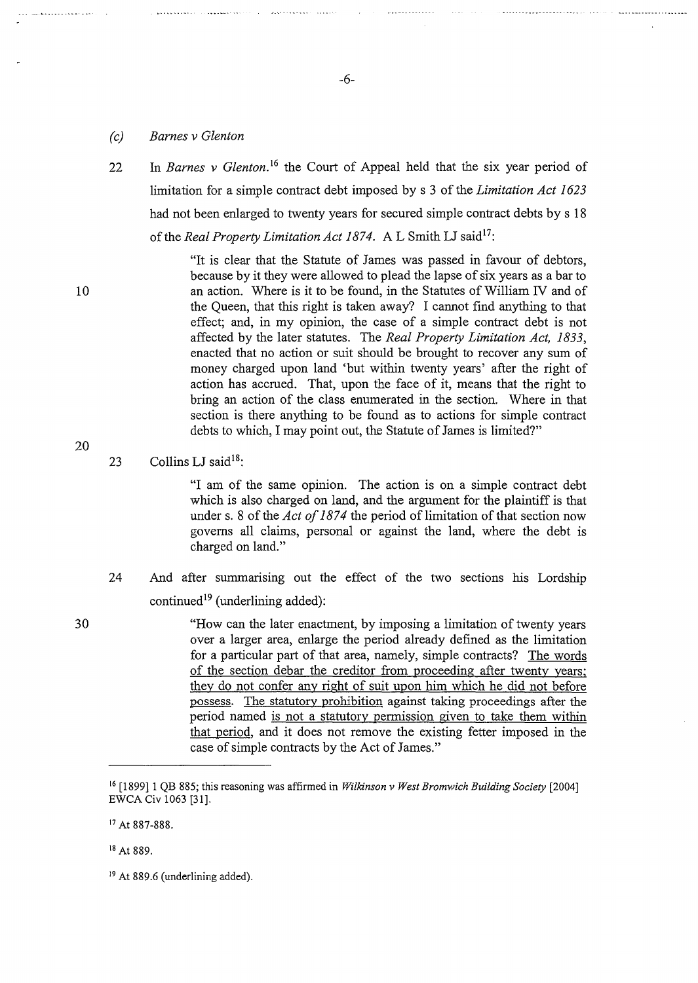#### *(c) Barnes v Glenton*

 $\cdots$ 

22 In *Barnes v Glenton*<sup>16</sup> the Court of Appeal held that the six year period of limitation for a simple contract debt imposed by s 3 of the *Limitation Act 1623*  had not been enlarged to twenty years for secured simple contract debts by s 18 of the *Real Property Limitation Act 1874.* A L Smith LJ said<sup>17</sup>:

> "It is clear that the Statute of James was passed in favour of debtors, because by it they were allowed to plead the lapse of six years as a bar to an action. Where is it to be found, in the Statutes of William IV and of the Queen, that this right is taken away? I cannot find anything to that effect; and, in my opinion, the case of a simple contract debt is not affected by the later statutes. The *Real Property Limitation Act, 1833,*  enacted that no action or suit should be brought to recover any sum of money charged upon land 'but within twenty years' after the right of action has accrued. That, upon the face of it, means that the right to bring an action of the class enumerated in the section. Where in that section is there anything to be found as to actions for simple contract debts to which, I may point out, the Statute of James is limited?"

23 Collins LJ said<sup>18</sup>:

"I am of the same opinion. The action is on a simple contract debt which is also charged on land, and the argument for the plaintiff is that under s. 8 of the *Act of 1874* the period of limitation of that section now governs all claims, personal or against the land, where the debt is charged on land."

- 24 And after summarising out the effect of the two sections his Lordship continued<sup>19</sup> (underlining added):
- 30 "How can the later enactment, by imposing a limitation of twenty years over a larger area, enlarge the period already defined as the limitation for a particular part of that area, namely, simple contracts? The words of the section debar the creditor from proceeding after twenty years; they do not confer any right of suit upon him which he did not before possess. The statutory prohibition against taking proceedings after the period named is not a statutory permission given to take them within that period, and it does not remove the existing fetter imposed in the case of simple contracts by the Act of James."

<sup>17</sup> At 887-888.

20

10

-6-

<sup>16</sup>[1899] 1 QB 885; this reasoning was affirmed in *Wilkinson v West Bromwich Building Society* [2004] EWCA Civ 1063 [31].

<sup>18</sup>At 889.

<sup>&</sup>lt;sup>19</sup> At 889.6 (underlining added).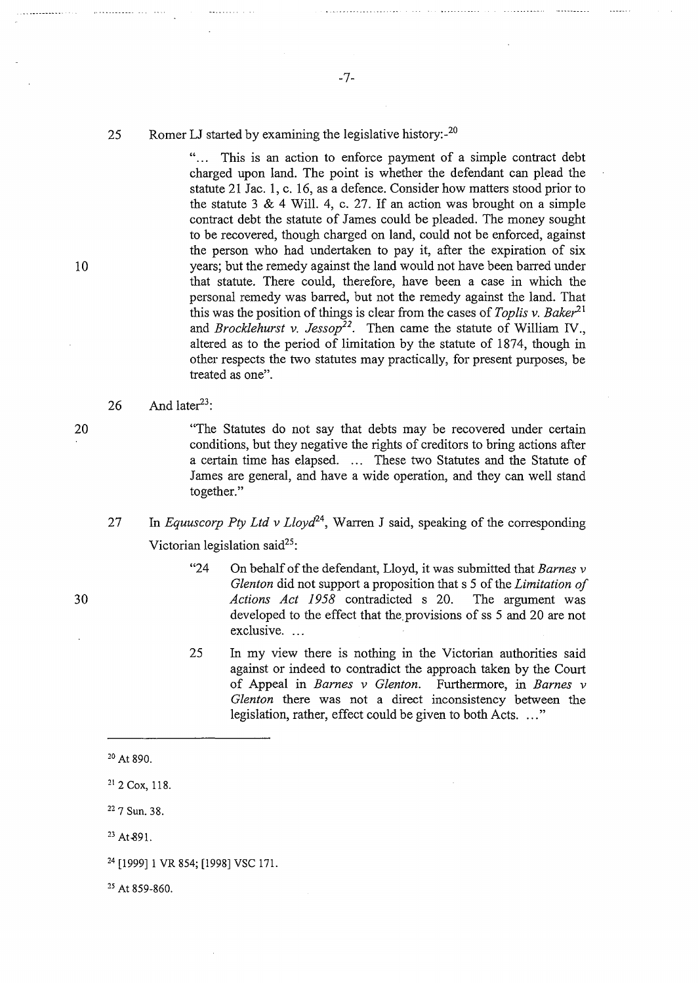#### 25 Romer LJ started by examining the legislative history: $2^{20}$

"... This is an action to enforce payment of a simple contract debt charged upon land. The point is whether the defendant can plead the statute 21 Jac. 1, c. 16, as a defence. Consider how matters stood prior to the statute 3  $& 4$  Will. 4, c. 27. If an action was brought on a simple contract debt the statute of James could be pleaded. The money sought to be recovered, though charged on land, could not be enforced, against the person who had undertaken to pay it, after the expiration of six years; but the remedy against the land would not have been barred under that statute. There could, therefore, have been a case in which the personal remedy was barred, but not the remedy against the land. That this was the position of things is clear from the cases of *Toplis v. Baker*<sup>21</sup> and *Brocklehurst v. Jessop22•* Then came the statute of William IV., altered as to the period of limitation by the statute of 1874, though in other respects the two statutes may practically, for present purposes, be treated as one".

#### 26 And later<sup>23</sup>:

"The Statutes do not say that debts may be recovered under certain conditions, but they negative the rights of creditors to bring actions after a certain time has elapsed. ... These two Statutes and the Statute of James are general, and have a wide operation, and they can well stand together."

# 27 In *Equuscorp Pty Ltd v Lloyd24,* Warren J said, speaking of the corresponding Victorian legislation said<sup>25</sup>:

- "24 On behalf of the defendant, Lloyd, it was submitted that *Barnes v Glenton* did not support a proposition that s 5 of the *Limitation of Actions Act 1958* contradicted s 20. The argument was developed to the effect that the provisions of ss 5 and 20 are not exclusive...
- 25 In my view there is nothing in the Victorian authorities said against or indeed to contradict the approach taken by the Court of Appeal in *Barnes v Glenton*. Furthermore, in *Barnes v Glenton* there was not a direct inconsistency between the legislation, rather, effect could be given to both Acts. ..."

20 At 890.

21 2 Cox, 118.

22 7 Sun. 38.

 $23$  At  $891$ .

25 At 859-860.

10

20

<sup>24 [1999] 1</sup> VR 854; [1998] VSC 171.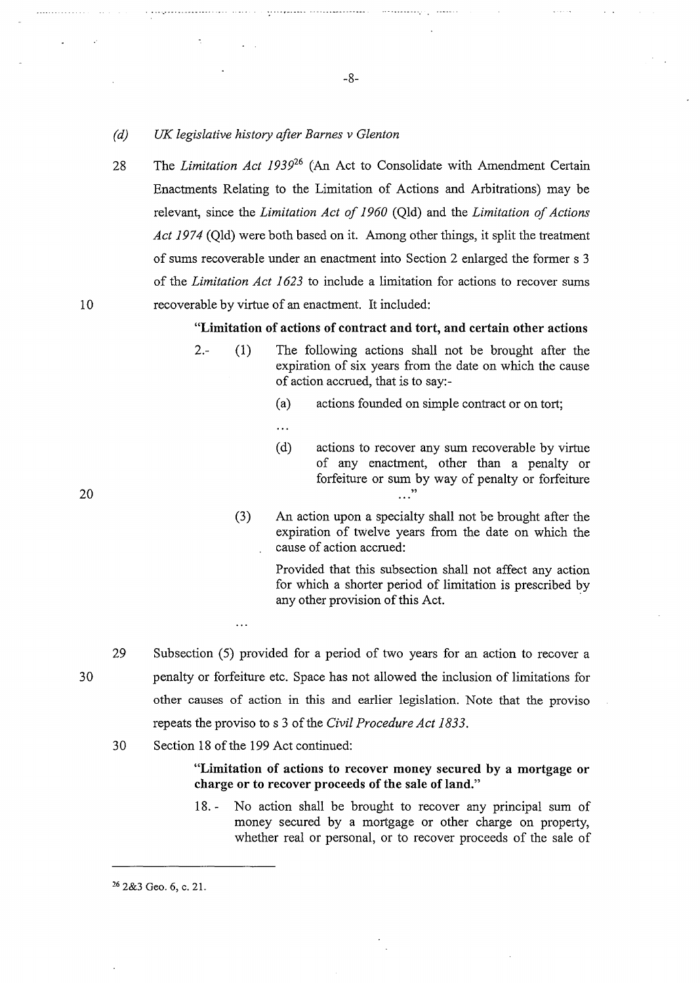- *(d) UK legislative history after Barnes v Glenton*
- 28 The *Limitation Act 1939*<sup>26</sup>(An Act to Consolidate with Amendment Certain Enactments Relating to the Limitation of Actions and Arbitrations) may be relevant, since the *Limitation Act of 1960* (Qld) and the *Limitation of Actions Act 1974* (Qld) were both based on it. Among other things, it split the treatment of sums recoverable under an enactment into Section 2 enlarged the former s 3 of the *Limitation Act 1623* to include a limitation for actions to recover sums recoverable by virtue of an enactment. It included:

-8-

**"Limitation of actions of contract and tort, and certain other actions** 

- 2.- (1) The following actions shall not be brought after the expiration of six years from the date on which the cause of action accrued, that is to say:-
	- (a) actions founded on simple contract or on tort;
	- $\dddot{\phantom{0}}$
	- (d) actions to recover any sum recoverable by virtue of any enactment, other than a penalty or forfeiture or sum by way of penalty or forfeiture  $\ldots$

20

10

(3) An action upon a specialty shall not be brought after the expiration of twelve years from the date on which the cause of action accrued:

> Provided that this subsection shall not affect any action for which a shorter period of limitation is prescribed by any other provision of this Act.

- 29 Subsection (5) provided for a period of two years for an action to recover a penalty or forfeiture etc. Space has not allowed the inclusion of limitations for other causes of action in this and earlier legislation. Note that the proviso repeats the proviso to s 3 of the *Civil Procedure Act 1833.*
- 30 Section 18 of the 199 Act continued:

 $\ddotsc$ 

#### **"Limitation of actions to recover money secured by a mortgage or charge or to recover proceeds of the sale of land."**

18. - No action shall be brought to recover any principal sum of money secured by a mortgage or other charge on property, whether real or personal, or to recover proceeds of the sale of

26 2&3 Geo. 6, c. 21.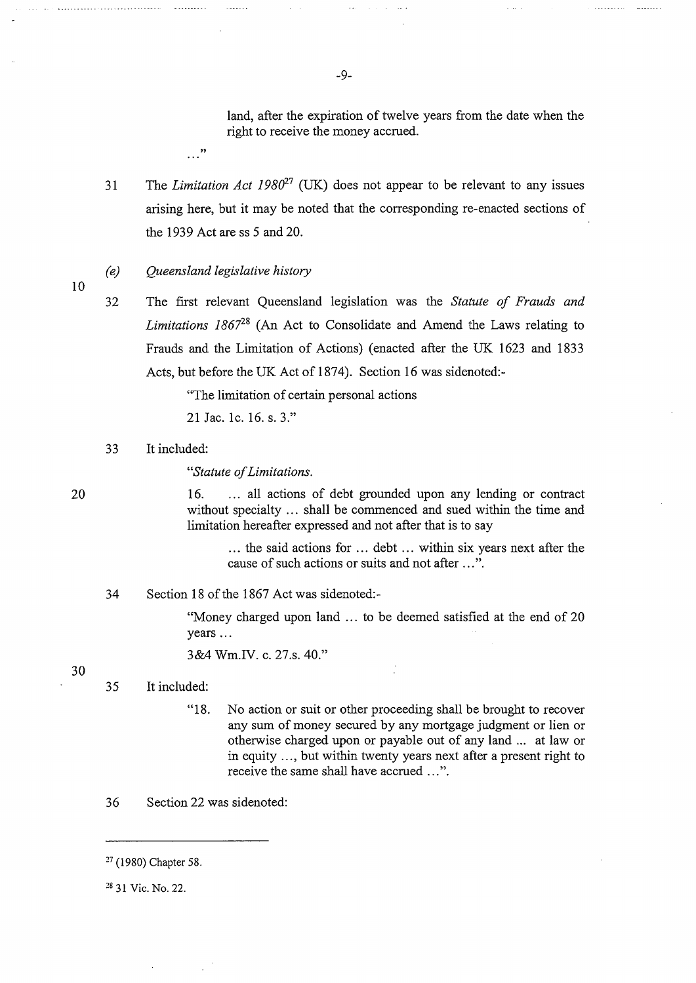land, after the expiration of twelve years from the date when the right to receive the money accrued.

 $\sim$  .

31 The *Limitation Act 1980<sup>27</sup>* (UK) does not appear to be relevant to any issues arising here, but it may be noted that the corresponding re-enacted sections of the 1939 Act are ss 5 and 20.

#### *(e) Queensland legislative history*

. . . "

10

32 The first relevant Queensland legislation was the *Statute of Frauds and Limitations 186728* (An Act to Consolidate and Amend the Laws relating to Frauds and the Limitation of Actions) (enacted after the UK 1623 and 1833 Acts, but before the UK Act of 1874). Section 16 was sidenoted:-

"The limitation of certain personal actions

21 Jae. le. 16. s. 3."

33 It included:

*"Statute of Limitations.* 

16. ... all actions of debt grounded upon any lending or contract without specialty ... shall be commenced and sued within the time and limitation hereafter expressed and not after that is to say

... the said actions for ... debt ... within six years next after the cause of such actions or suits and not after ... ".

34 Section 18 of the 1867 Act was sidenoted:-

"Money charged upon land ... to be deemed satisfied at the end of 20 years ...

3&4 Wm.IV. c. 27.s. 40."

30

#### 35 It included:

- "18. No action or suit or other proceeding shall be brought to recover any sum of money secured by any mortgage judgment or lien or otherwise charged upon or payable out of any land ... at law or in equity ... , but within twenty years next after a present right to receive the same shall have accrued ...".
- 36 Section 22 was sidenoted:

<sup>27 (1980)</sup> Chapter 58.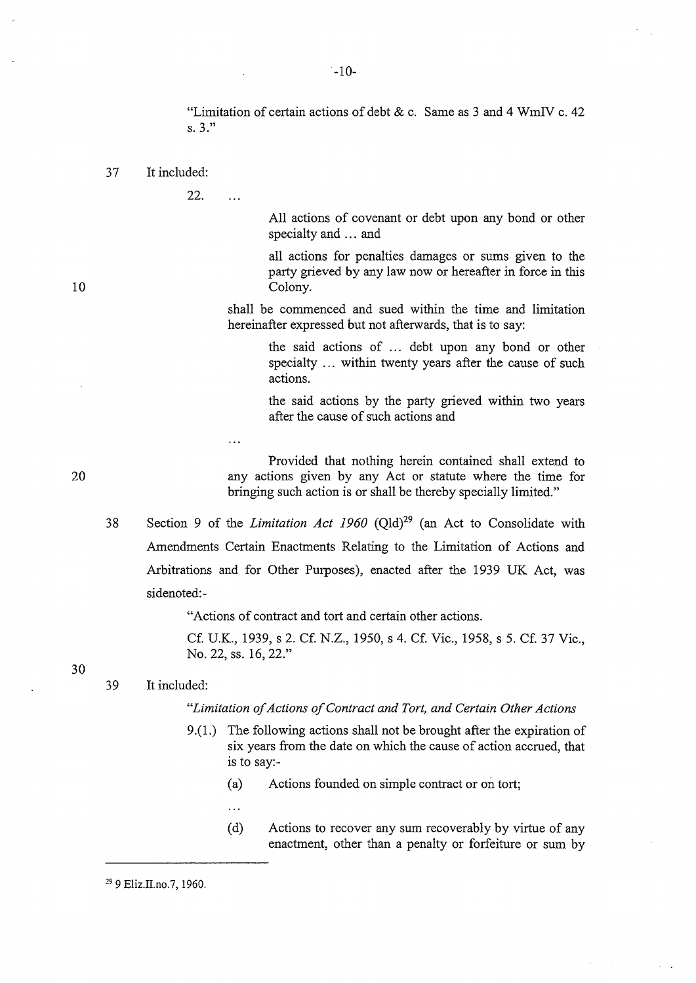"Limitation of certain actions of debt  $\&c$ . Same as 3 and 4 WmIV c. 42 s. 3."

37 It included:

22.

 $\ddotsc$ 

All actions of covenant or debt upon any bond or other specialty and ... and

all actions for penalties damages or sums given to the party grieved by any law now or hereafter in force in this Colony.

shall be commenced and sued within the time and limitation hereinafter expressed but not afterwards, that is to say:

> the said actions of ... debt upon any bond or other specialty ... within twenty years after the cause of such actions.

> the said actions by the party grieved within two years after the cause of such actions and

Provided that nothing herein contained shall extend to any actions given by any Act or statute where the time for bringing such action is or shall be thereby specially limited."

38 Section 9 of the *Limitation Act 1960* (Qld)<sup>29</sup> (an Act to Consolidate with Amendments Certain Enactments Relating to the Limitation of Actions and Arbitrations and for Other Purposes), enacted after the 1939 UK Act, was sidenoted:-

"Actions of contract and tort and certain other actions.

Cf. U.K., 1939, s 2. Cf. N.Z., 1950, s 4. Cf. Vic., 1958, s 5. Cf. 37 Vic., No. 22, ss. 16, 22."

39 It included:

#### *"Limitation of Actions of Contract and Tort, and Certain Other Actions*

- 9.(1.) The following actions shall not be brought after the expiration of six years from the date on which the cause of action accrued, that is to say:-
	- (a) Actions founded on simple contract or on tort;

 $\ddotsc$ 

(d) Actions to recover any sum recoverably by virtue of any enactment, other than a penalty or forfeiture or sum by

 $-10-$ 

20

10

30

29 9 Eliz.II.no.7, 1960.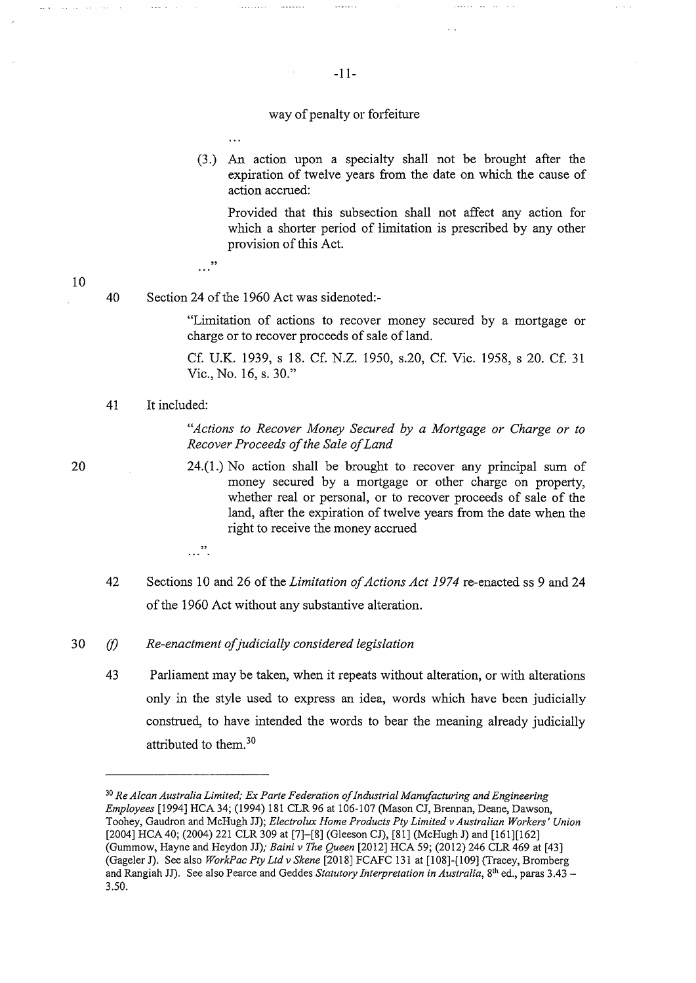#### way of penalty or forfeiture

(3.) An action upon a specialty shall not be brought after the expiration of twelve years from the date on which the cause of action accrued:

Provided that this subsection shall not affect any action for which a shorter period of limitation is prescribed by any other provision of this Act.

البارا فقار فتتفيز

 $\sim$   $\sim$ 

...<sup>"</sup>

40 Section 24 of the 1960 Act was sidenoted:-

 $\dddotsc$ 

"Limitation of actions to recover money secured by a mortgage or charge or to recover proceeds of sale of land.

Cf. U.K. 1939, s 18. Cf. N.Z. 1950, s.20, Cf. Vic. 1958, s 20. Cf. 31 Vic., No. 16, s. 30."

41 It included:

*"Actions to Recover Money Secured by a Mortgage or Charge or to Recover Proceeds of the Sale of Land* 

24.(1.) No action shall be brought to recover any principal sum of money secured by a mortgage or other charge on property, whether real or personal, or to recover proceeds of sale of the land, after the expiration of twelve years from the date when the right to receive the money accrued

42 Sections 10 and 26 of the *Limitation of Actions Act 1974* re-enacted ss 9 and 24 of the 1960 Act without any substantive alteration.

#### 30 *(I) Re-enactment ofjudicially considered legislation*

 $\cdots$  .

43 Parliament may be taken, when it repeats without alteration, or with alterations only in the style used to express an idea, words which have been judicially construed, to have intended the words to bear the meaning already judicially attributed to them.<sup>30</sup>

 $\ldots$  . . . . .

20

10

المتحدث والمتحدث المتعاد

<sup>30</sup>*Re A/can Australia Limited; Ex Parte Federation of Industrial Manufacturing and Engineering Employees* [1994] HCA 34; (1994) 181 CLR 96 at 106-107 (Mason CJ, Brennan, Deane, Dawson, Toohey, Gaudron and McHugh JJ); *Electrolux Home Products Pty Limited v Australian Workers' Union*  [2004] HCA 40; (2004) 221 CLR 309 at [7]-[8] (Gleeson CJ), [81] (McHugh J) and [161][162] (Gummow, Hayne and Heydon JJ); *Baini v The Queen* [2012] HCA 59; (2012) 246 CLR 469 at [43] (Gageler J). See also *WorkPac Pty Ltd v Skene* [2018] FCAFC 131 at [108]-[109] (Tracey, Bromberg and Rangiah JJ). See also Pearce and Geddes *Statutory Interpretation in Australia,* 8th ed., paras 3.43 - 3.50.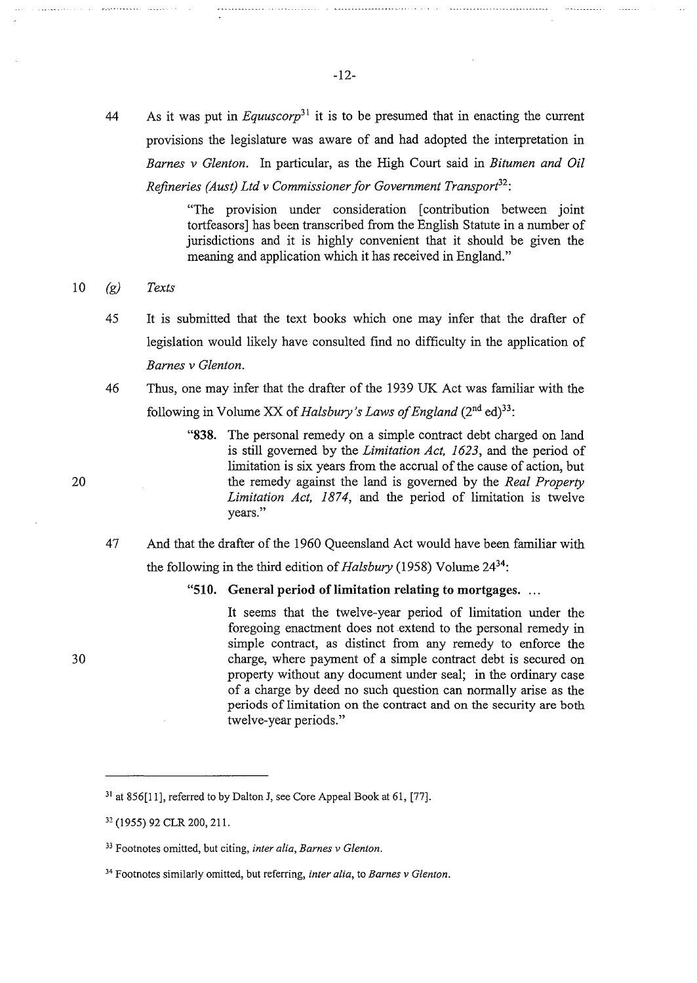44 As it was put in *Equuscorp*<sup>31</sup> it is to be presumed that in enacting the current provisions the legislature was aware of and had adopted the interpretation in *Barnes v Glenton.* In particular, as the High Court said in *Bitumen and Oil Refineries (Aust) Ltd v Commissioner for Government Transport<sup>32</sup> :* 

> "The provision under consideration [ contribution between joint tortfeasors] has been transcribed from the English Statute in a number of jurisdictions and it is highly convenient that it should be given the meaning and application which it has received in England."

#### 10 *(g) Texts*

- 45 It is submitted that the text books which one may infer that the drafter of legislation would likely have consulted find no difficulty in the application of *Barnes v Glenton.*
- 46 Thus, one may infer that the drafter of the 1939 UK Act was familiar with the following in Volume XX of *Halsbury* 's *Laws of England* (2nd ed)33 :
	- **"838.** The personal remedy on a simple contract debt charged on land is still governed by the *Limitation Act, 1623,* and the period of limitation is six years from the accrual of the cause of action, but the remedy against the land is governed by the *Real Property*  Limitation Act, 1874, and the period of limitation is twelve years."
- 47 And that the drafter of the 1960 Queensland Act would have been familiar with the following in the third edition of *Halsbury* (1958) Volume 2434:

"510. General period of limitation relating to mortgages. ...

It seems that the twelve-year period of limitation under the foregoing enactment does not extend to the personal remedy in simple contract, as distinct from any remedy to enforce the charge, where payment of a simple contract debt is secured on property without any document under seal; in the ordinary case of a charge by deed no such question can normally arise as the periods of limitation on the contract and on the security are both twelve-year periods."

20

 $31$  at 856[11], referred to by Dalton J, see Core Appeal Book at 61, [77].

<sup>32 (1955) 92</sup> CLR 200, 211.

<sup>33</sup> Footnotes omitted, but citing, *inter alia, Barnes v Glenton.* 

<sup>34</sup> Footnotes similarly omitted, but referring, *inter alia,* to *Barnes v Glenton.*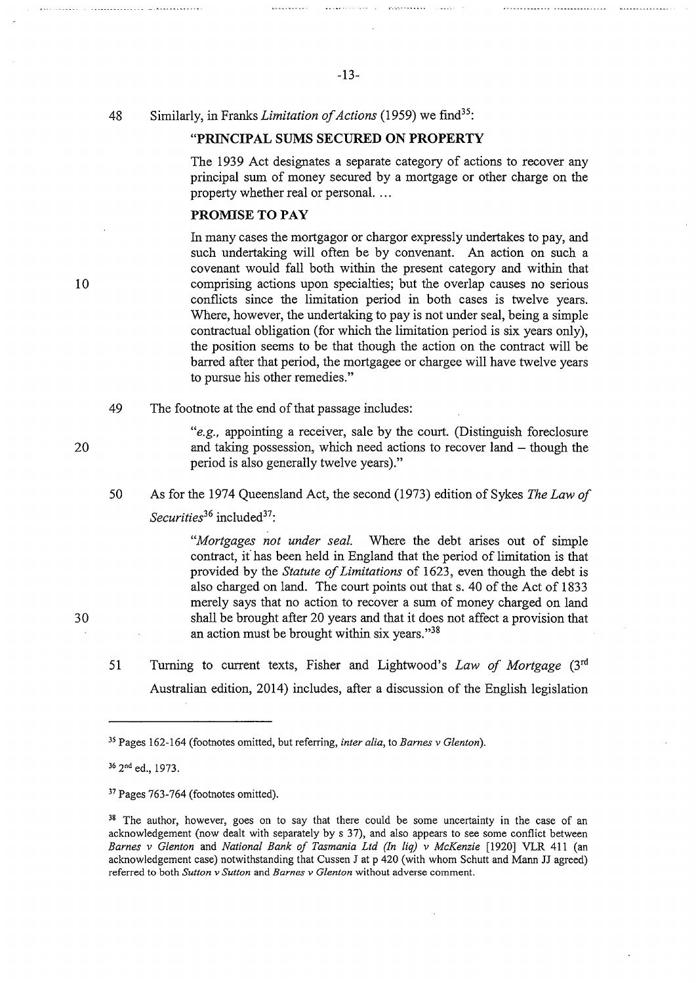48 Similarly, in Franks *Limitation of Actions* (1959) we find<sup>35</sup>:

#### **"PRINCIPAL SUMS SECURED ON PROPERTY**

The 1939 Act designates a separate category of actions to recover any principal sum of money secured by a mortgage or other charge on the property whether real or personal. ...

#### **PROMISE TO PAY**

In many cases the mortgagor or chargor expressly undertakes to pay, and such undertaking will often be by convenant. An action on such a covenant would fall both within the present category and within that comprising actions upon specialties; but the overlap causes no serious conflicts since the limitation period in both cases is twelve years. Where, however, the undertaking to pay is not under seal, being a simple contractual obligation (for which the limitation period is six years only), the position seems to be that though the action on the contract will be barred after that period, the mortgagee or chargee will have twelve years to pursue his other remedies."

49 The footnote at the end of that passage includes:

> *"e.g.,* appointing a receiver, sale by the court. (Distinguish foreclosure and taking possession, which need actions to recover land  $-$  though the period is also generally twelve years)."

50 As for the 1974 Queensland Act, the second (1973) edition of Sykes *The Law of Securities*<sup>36</sup> included<sup>37</sup>:

> *"Mortgages not under seal.* Where the debt arises out of simple contract, i{ has been held in England that the period of limitation is that provided by the *Statute of Limitations* of 1623, even though the debt is also charged on land. The court points out that s. 40 of the Act of 1833 merely says that no action to recover a sum of money charged on land shall be brought after 20 years and that it does not affect a provision that an action must be brought within six years."<sup>38</sup>

51 Turning to current texts, Fisher and Lightwood's *Law of Mortgage* (3rd Australian edition, 2014) includes, after a discussion of the English legislation

36 2nd ed., 1973.

20

30

10

<sup>35</sup>Pages 162-164 (footnotes omitted, but referring, *inter alia,* to *Barnes v Glenton).* 

<sup>37</sup> Pages 763-764 (footnotes omitted).

<sup>&</sup>lt;sup>38</sup> The author, however, goes on to say that there could be some uncertainty in the case of an acknowledgement (now dealt with separately bys 37), and also appears to see some conflict between *Barnes v Glenton* and *National Bank of Tasmania Ltd (In liq) v McKenzie* [1920] VLR 411 (an acknowledgement case) notwithstanding that Cussen J at p 420 (with whom Schutt and Mann JJ agreed) referred to both *Sutton v Sutton* and *Barnes v Glenton* without adverse comment.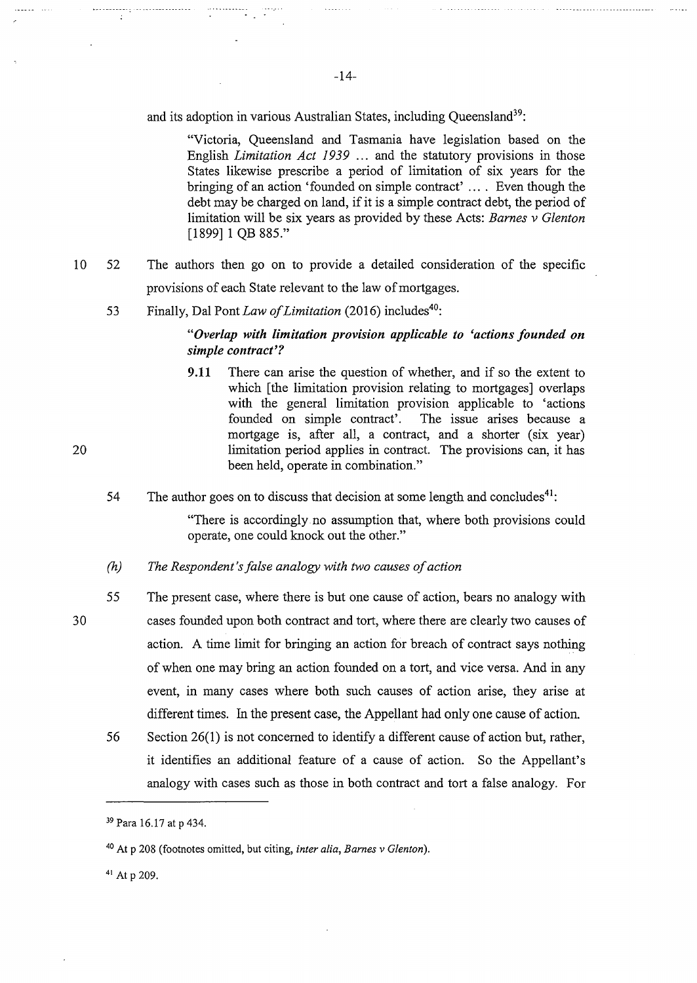and its adoption in various Australian States, including Oueensland<sup>39</sup>:

"Victoria, Queensland and Tasmania have legislation based on the English *Limitation Act 1939* ... and the statutory provisions in those States likewise prescribe a period of limitation of six years for the bringing of an action 'founded on simple contract' ... . Even though the debt may be charged on land, if it is a simple contract debt, the period of limitation will be six years as provided by these Acts: *Barnes v Glenton*  [1899] 1 QB 885."

- 10 52 The authors then go on to provide a detailed consideration of the specific provisions of each State relevant to the law of mortgages.
	- 53 Finally, Dal Pont *Law of Limitation* (2016) includes<sup>40</sup>:

### *"Overlap with limitation provision applicable to 'actions founded on simple contract'?*

- **9.11** There can arise the question of whether, and if so the extent to which [the limitation provision relating to mortgages] overlaps with the general limitation provision applicable to 'actions founded on simple contract'. The issue arises because a mortgage is, after all, a contract, and a shorter (six year) limitation period applies in contract. The provisions can, it has been held, operate in combination."
- 54 The author goes on to discuss that decision at some length and concludes<sup>41</sup>:

"There is accordingly no assumption that, where both provisions could operate, one could knock out the other."

- *(h) The Respondent's false analogy with two causes of action*
- 55 The present case, where there is but one cause of action, bears no analogy with cases founded upon both contract and tort, where there are clearly two causes of action. A time limit for bringing an action for breach of contract says nothing of when one may bring an action founded on a tort, and vice versa. And in any event, in many cases where both such causes of action arise, they arise at different times. In the present case, the Appellant had only one cause of action.
	- 56 Section 26(1) is not concerned to identify a different cause of action but, rather, it identifies an additional feature of a cause of action. So the Appellant's analogy with cases such as those in both contract and tort a false analogy. For

41 At p 209.

20

. . . . . . . . . . .

<sup>39</sup> Para 16.17 at p 434.

<sup>40</sup> At p 208 (footnotes omitted, but citing, *inter alia, Barnes v Glenton* ).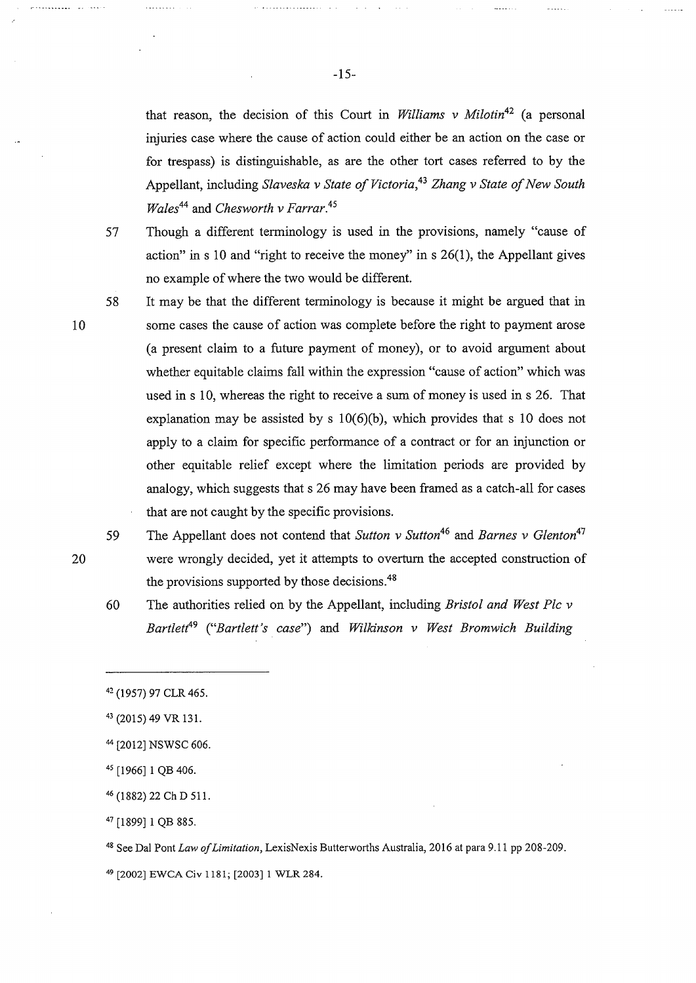that reason, the decision of this Court in *Williams v Milotin*<sup>42</sup> (a personal injuries case where the cause of action could either be an action on the case or for trespass) is distinguishable, as are the other tort cases referred to by the Appellant, including *Slaveska v State of Victoria, 43 Zhang v State of New South Wales44* and *Chesworth v Farrar.<sup>45</sup>*

57

Though a different terminology is used in the provisions, namely "cause of action" in s 10 and "right to receive the money" in s  $26(1)$ , the Appellant gives no example of where the two would be different.

58 It may be that the different terminology is because it might be argued that in some cases the cause of action was complete before the right to payment arose (a present claim to a future payment of money), or to avoid argument about whether equitable claims fall within the expression "cause of action" which was used in s 10, whereas the right to receive a sum of money is used in s 26. That explanation may be assisted by s  $10(6)(b)$ , which provides that s 10 does not apply to a claim for specific performance of a contract or for an injunction or other equitable relief except where the limitation periods are provided by analogy, which suggests that s 26 may have been framed as a catch-all for cases that are not caught by the specific provisions.

- 59 The Appellant does not contend that *Sutton* v Sutton<sup>46</sup> and *Barnes v Glenton*<sup>47</sup> were wrongly decided, yet it attempts to overturn the accepted construction of the provisions supported by those decisions.<sup>48</sup>
- 60 The authorities relied on by the Appellant, including *Bristol and West Pie v Bartlett*<sup>49</sup>*("Bartlett's case")* and *Wilkinson v West Bromwich Building*

48 See Dai Pont *Law of Limitation,* LexisNexis Butterworths Australia, 2016 at para 9.11 pp 208-209.

49 [2002] EWCA Civ 1181; [2003] 1 WLR 284.

20

10

. . . . . . . . . . . .

<sup>42 (1957) 97</sup> CLR 465.

<sup>43 (2015) 49</sup> VR 131.

<sup>44 [2012]</sup> NSWSC 606.

<sup>45 [1966] 1</sup> QB 406.

<sup>46 (1882) 22</sup> Ch D 511.

<sup>47 [1899] 1</sup> QB 885.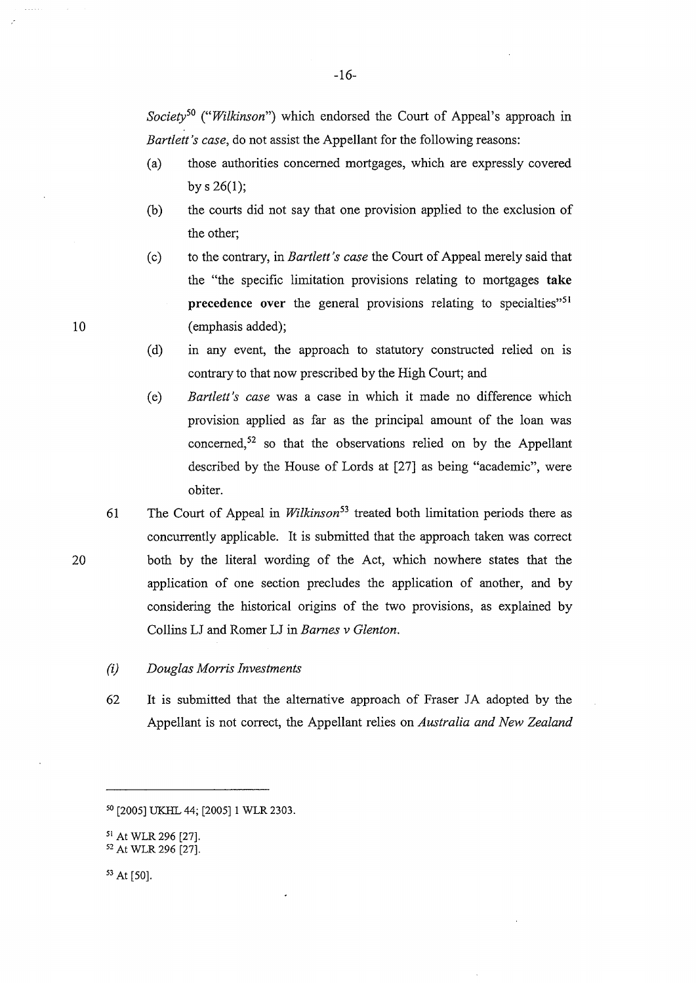*Society50 ("Wilkinson")* which endorsed the Court of Appeal's approach in *Bartlett's case,* do not assist the Appellant for the following reasons:

- (a) those authorities concerned mortgages, which are expressly covered by  $s \; 26(1)$ ;
- (b) the courts did not say that one provision applied to the exclusion of the other;
- ( c) to the contrary, in *Bartlett's case* the Court of Appeal merely said that the "the specific limitation provisions relating to mortgages **take precedence** over the general provisions relating to specialties"<sup>51</sup> ( emphasis added);
- (d) in any event, the approach to statutory constructed relied on is contrary to that now prescribed by the High Court; and
- (e) *Bartlett's case* was a case in which it made no difference which provision applied as far as the principal amount of the loan was concerned, $52$  so that the observations relied on by the Appellant described by the House of Lords at [27] as being "academic", were obiter.
- 61 The Court of Appeal in *Wilkinson*<sup>53</sup> treated both limitation periods there as concurrently applicable. It is submitted that the approach taken was correct both by the literal wording of the Act, which nowhere states that the application of one section precludes the application of another, and by considering the historical origins of the two provisions, as explained by Collins LJ and Romer LJ in *Barnes v Glenton.*
- *(i) Douglas Morris Investments*
- 62 It is submitted that the alternative approach of Fraser JA adopted by the Appellant is not correct, the Appellant relies on *Australia and New Zealand*

10

<sup>50 [2005]</sup> UKHL 44; [2005] 1 WLR 2303.

<sup>51</sup> At WLR 296 [27]. 52 At WLR 296 [27].

<sup>53</sup> At [50].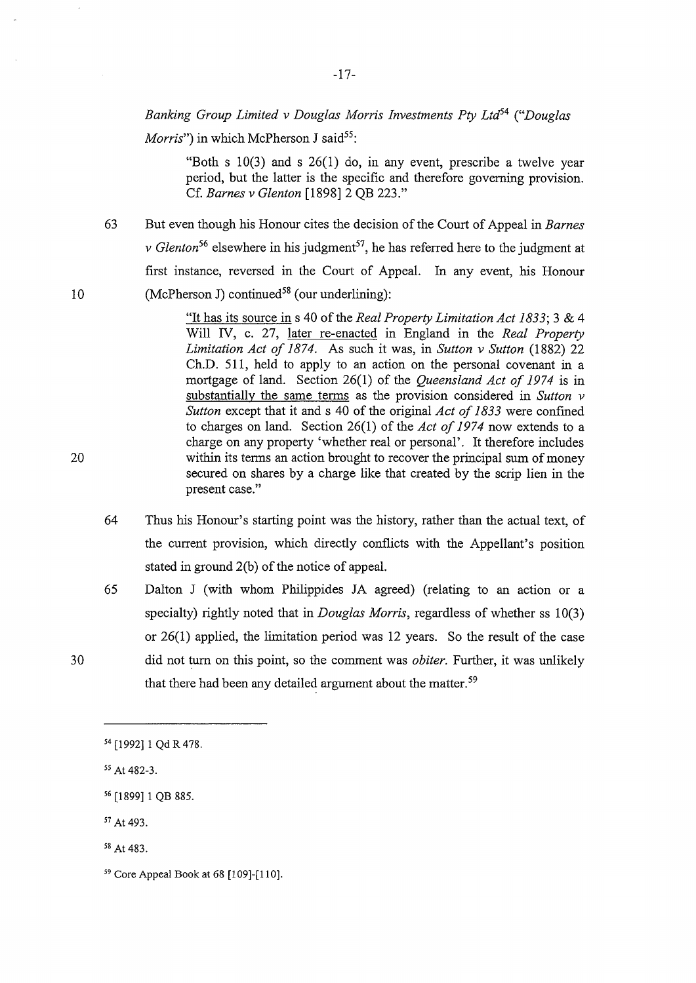### *Banking Group Limited v Douglas Morris Investments Pty Ltd54 ("Douglas*

*Morris*") in which McPherson J said<sup>55</sup>:

"Both s  $10(3)$  and s  $26(1)$  do, in any event, prescribe a twelve year period, but the latter is the specific and therefore governing provision. Cf. *Barnes v Glenton* [1898] 2 QB 223."

63 But even though his Honour cites the decision of the Court of Appeal in *Barnes v* Glenton<sup>56</sup> elsewhere in his judgment<sup>57</sup>, he has referred here to the judgment at first instance, reversed in the Court of Appeal. In any event, his Honour (McPherson J) continued<sup>58</sup> (our underlining):

> "It has its source in s 40 of the *Real Property Limitation Act 1833;* 3 & 4 Will IV, c. 27, later re-enacted in England in the *Real Property Limitation Act of 1874.* As such it was, in *Sutton v Sutton* (1882) 22 Ch.D. 511, held to apply to an action on the personal covenant in a mortgage of land. Section 26(1) of the *Queensland Act of 1974* is in substantially the same terms as the provision considered in *Sutton v Sutton* except that it and s 40 of the original *Act of 1833* were confined to charges on land. Section 26(1) of the *Act of 1974* now extends to a charge on any property 'whether real or personal'. It therefore includes within its terms an action brought to recover the principal sum of money secured on shares by a charge like that created by the scrip lien in the present case."

- 64 Thus his Honour's starting point was the history, rather than the actual text, of the current provision, which directly conflicts with the Appellant's position stated in ground 2(b) of the notice of appeal.
- 65 Dalton J (with whom Philippides JA agreed) (relating to an action or a specialty) rightly noted that in *Douglas Morris,* regardless of whether ss 10(3) or 26(1) applied, the limitation period was 12 years. So the result of the case did not turn on this point, so the comment was *obiter*. Further, it was unlikely that there had been any detailed argument about the matter.<sup>59</sup>

-17-

20

10

<sup>54 [1992] 1</sup> Qd R 478.

*<sup>55</sup>*At 482-3.

<sup>56 [1899] 1</sup> QB 885.

<sup>57</sup> At 493.

<sup>58</sup> At 483.

<sup>59</sup> Core Appeal Book at 68 [l 09]-[110].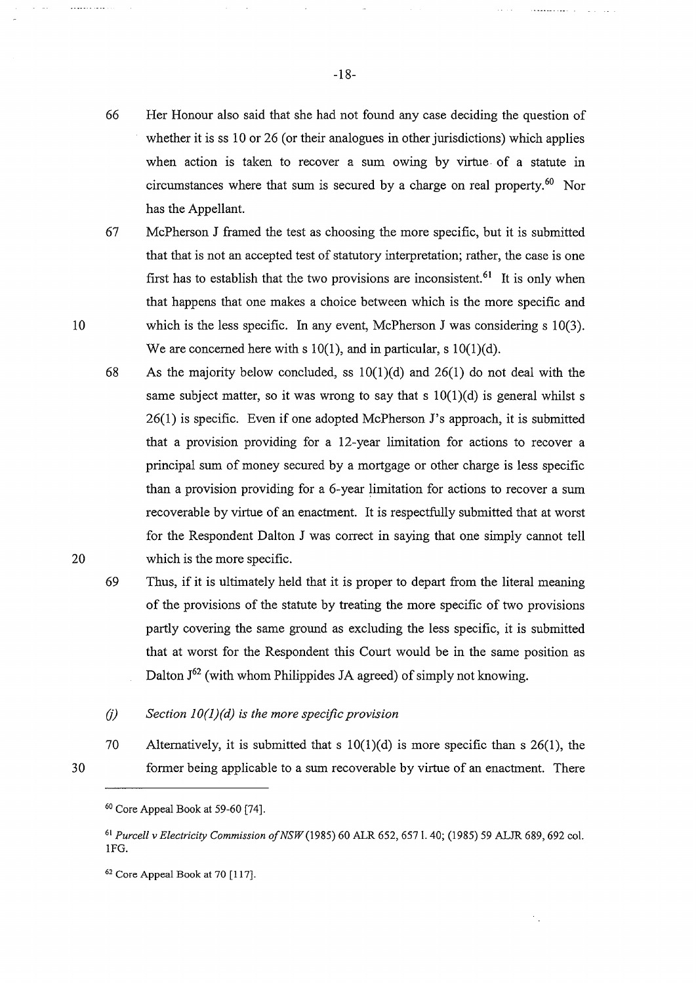. . . . . . . . . . . . . . . .

 $\mathbf{L}$  . The set of  $\mathbf{L}$ 

- 66 Her Honour also said that she had not found any case deciding the question of whether it is ss 10 or 26 (or their analogues in other jurisdictions) which applies when action is taken to recover a sum owing by virtue. of a statute in circumstances where that sum is secured by a charge on real property.<sup>60</sup> Nor has the Appellant.
- 
- 67 McPherson J framed the test as choosing the more specific, but it is submitted that that is not an accepted test of statutory interpretation; rather, the case is one first has to establish that the two provisions are inconsistent.<sup>61</sup> It is only when that happens that one makes a choice between which is the more specific and which is the less specific. In any event, McPherson J was considering s 10(3). We are concerned here with s  $10(1)$ , and in particular, s  $10(1)(d)$ .
	- 68 As the majority below concluded, ss  $10(1)(d)$  and  $26(1)$  do not deal with the same subject matter, so it was wrong to say that s  $10(1)(d)$  is general whilst s 26(1) is specific. Even if one adopted McPherson J's approach, it is submitted that a provision providing for a 12-year limitation for actions to recover a principal sum of money secured by a mortgage or other charge is less specific than a provision providing for a 6-year limitation for actions to recover a sum recoverable by virtue of an enactment. It is respectfully submitted that at worst for the Respondent Dalton J was correct in saying that one simply cannot tell which is the more specific.
	- 69 Thus, if it is ultimately held that it is proper to depart from the literal meaning of the provisions of the statute by treating the more specific of two provisions partly covering the same ground as excluding the less specific, it is submitted that at worst for the Respondent this Court would be in the same position as Dalton J<sup>62</sup> (with whom Philippides JA agreed) of simply not knowing.
	- (j) *Section 1 O(l)(d) is the more specific provision*
	- 70 Alternatively, it is submitted that s  $10(1)(d)$  is more specific than s 26(1), the former being applicable to a sum recoverable by virtue of an enactment. There

10

 $\bar{\omega}$  .

. . . . . . . . . . .

20

<sup>6</sup> ° Core Appeal Book at 59-60 (74].

<sup>61</sup>*Purcell v Electricity Commission ofNSW(l985)* 60 ALR 652, 6571. 40; (1985) 59 ALJR 689,692 col. lFG.

<sup>62</sup> Core Appeal Book at 70 [117].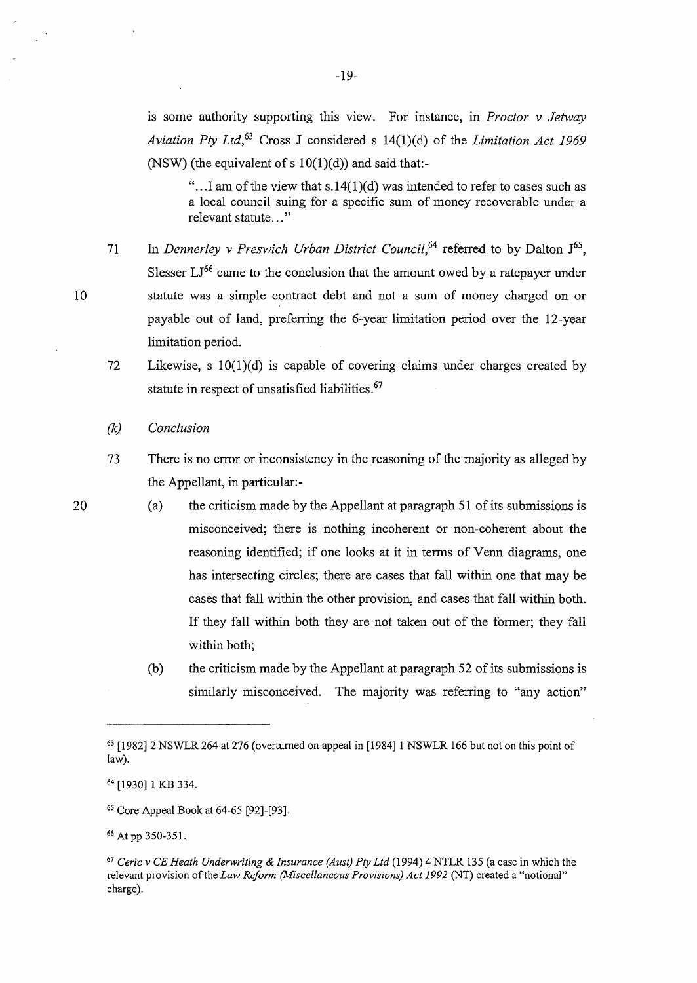is some authority supporting this view. For instance, in *Proctor v Jetway Aviation Pty Ltd,63* Cross J considered s 14(1)(d) of the *Limitation Act 1969*  (NSW) (the equivalent of s  $10(1)(d)$ ) and said that:-

"... I am of the view that  $s.14(1)(d)$  was intended to refer to cases such as a local council suing for a specific sum of money recoverable under a relevant statute..."

- 71 In *Dennerley v Preswich Urban District Council*,<sup>64</sup> referred to by Dalton J<sup>65</sup>, Slesser  $LI^{66}$  came to the conclusion that the amount owed by a ratepayer under statute was a simple contract debt and not a sum of money charged on or payable out of land, preferring the 6-year limitation period over the 12-year limitation period.
- 72 Likewise, s lO(l)(d) is capable of covering claims under charges created by statute in respect of unsatisfied liabilities.<sup>67</sup>
- *(k) Conclusion*
- 73 There is no error or inconsistency in the reasoning of the majority as alleged by the Appellant, in particular:-
	- (a) the criticism made by the Appellant at paragraph 51 of its submissions is misconceived; there is nothing incoherent or non-coherent about the reasoning identified; if one looks at it in terms of Venn diagrams, one has intersecting circles; there are cases that fall within one that may be cases that fall within the other provision, and cases that fall within both. If they fall within both they are not taken out of the former; they fall within both;
	- (b) the criticism made by the Appellant at paragraph 52 of its submissions is similarly misconceived. The majority was referring to "any action"

20

<sup>63 [1982] 2</sup> NSWLR 264 at 276 (overturned on appeal in [1984] 1 NSWLR 166 but not on this point of law).

<sup>64 [1930] 1</sup> KB 334.

<sup>65</sup> Core Appeal Book at 64-65 [92]-[93].

<sup>66</sup> At pp 350-351.

<sup>67</sup>*Ceric v CE Heath Underwriting & Insurance (Aust) Pty Ltd* (1994) 4 NTLR 135 (a case in which the relevant provision of the *Law Reform (Miscellaneous Provisions) Act 1992* (NT) created a "notional" charge).